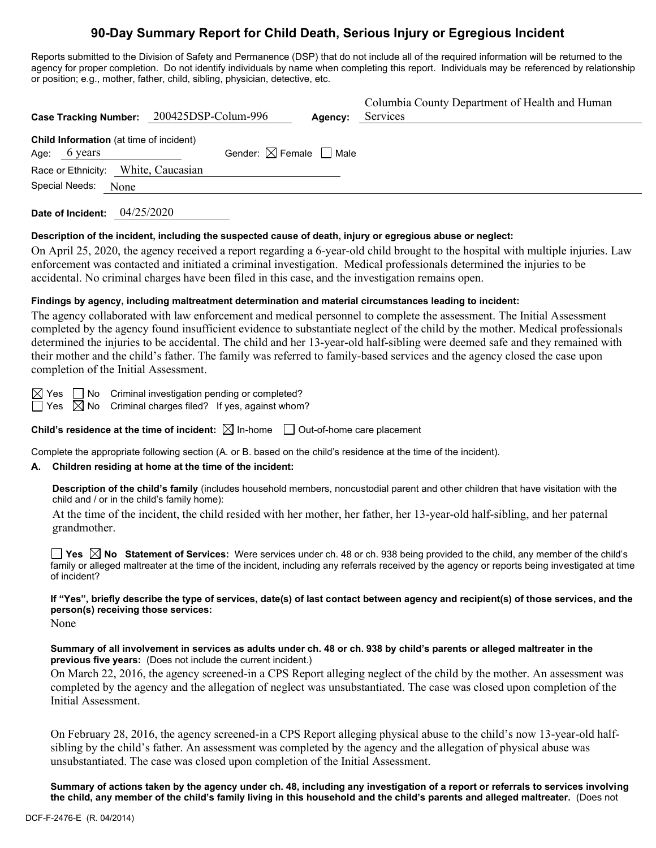# **90-Day Summary Report for Child Death, Serious Injury or Egregious Incident**

Reports submitted to the Division of Safety and Permanence (DSP) that do not include all of the required information will be returned to the agency for proper completion. Do not identify individuals by name when completing this report. Individuals may be referenced by relationship or position; e.g., mother, father, child, sibling, physician, detective, etc.

|                                                                   | Case Tracking Number: 200425DSP-Colum-996 | Agency: | Columbia County Department of Health and Human<br>Services |
|-------------------------------------------------------------------|-------------------------------------------|---------|------------------------------------------------------------|
| Child Information (at time of incident)<br>Age: $6 \text{ years}$ | Gender: $\boxtimes$ Female $\Box$ Male    |         |                                                            |
| Race or Ethnicity: White, Caucasian<br>Special Needs:<br>None     |                                           |         |                                                            |
|                                                                   |                                           |         |                                                            |

**Date of Incident:** 04/25/2020

#### **Description of the incident, including the suspected cause of death, injury or egregious abuse or neglect:**

On April 25, 2020, the agency received a report regarding a 6-year-old child brought to the hospital with multiple injuries. Law enforcement was contacted and initiated a criminal investigation. Medical professionals determined the injuries to be accidental. No criminal charges have been filed in this case, and the investigation remains open.

#### **Findings by agency, including maltreatment determination and material circumstances leading to incident:**

The agency collaborated with law enforcement and medical personnel to complete the assessment. The Initial Assessment completed by the agency found insufficient evidence to substantiate neglect of the child by the mother. Medical professionals determined the injuries to be accidental. The child and her 13-year-old half-sibling were deemed safe and they remained with their mother and the child's father. The family was referred to family-based services and the agency closed the case upon completion of the Initial Assessment.

 $\boxtimes$  Yes  $\Box$  No Criminal investigation pending or completed?

 $\Box$  Yes  $\boxtimes$  No Criminal charges filed? If yes, against whom?

**Child's residence at the time of incident:**  $\boxtimes$  In-home  $\Box$  Out-of-home care placement

Complete the appropriate following section (A. or B. based on the child's residence at the time of the incident).

#### **A. Children residing at home at the time of the incident:**

**Description of the child's family** (includes household members, noncustodial parent and other children that have visitation with the child and / or in the child's family home):

At the time of the incident, the child resided with her mother, her father, her 13-year-old half-sibling, and her paternal grandmother.

**Yes No Statement of Services:** Were services under ch. 48 or ch. 938 being provided to the child, any member of the child's family or alleged maltreater at the time of the incident, including any referrals received by the agency or reports being investigated at time of incident?

## **If "Yes", briefly describe the type of services, date(s) of last contact between agency and recipient(s) of those services, and the person(s) receiving those services:**

None

#### **Summary of all involvement in services as adults under ch. 48 or ch. 938 by child's parents or alleged maltreater in the previous five years:** (Does not include the current incident.)

On March 22, 2016, the agency screened-in a CPS Report alleging neglect of the child by the mother. An assessment was completed by the agency and the allegation of neglect was unsubstantiated. The case was closed upon completion of the Initial Assessment.

On February 28, 2016, the agency screened-in a CPS Report alleging physical abuse to the child's now 13-year-old halfsibling by the child's father. An assessment was completed by the agency and the allegation of physical abuse was unsubstantiated. The case was closed upon completion of the Initial Assessment.

**Summary of actions taken by the agency under ch. 48, including any investigation of a report or referrals to services involving the child, any member of the child's family living in this household and the child's parents and alleged maltreater.** (Does not